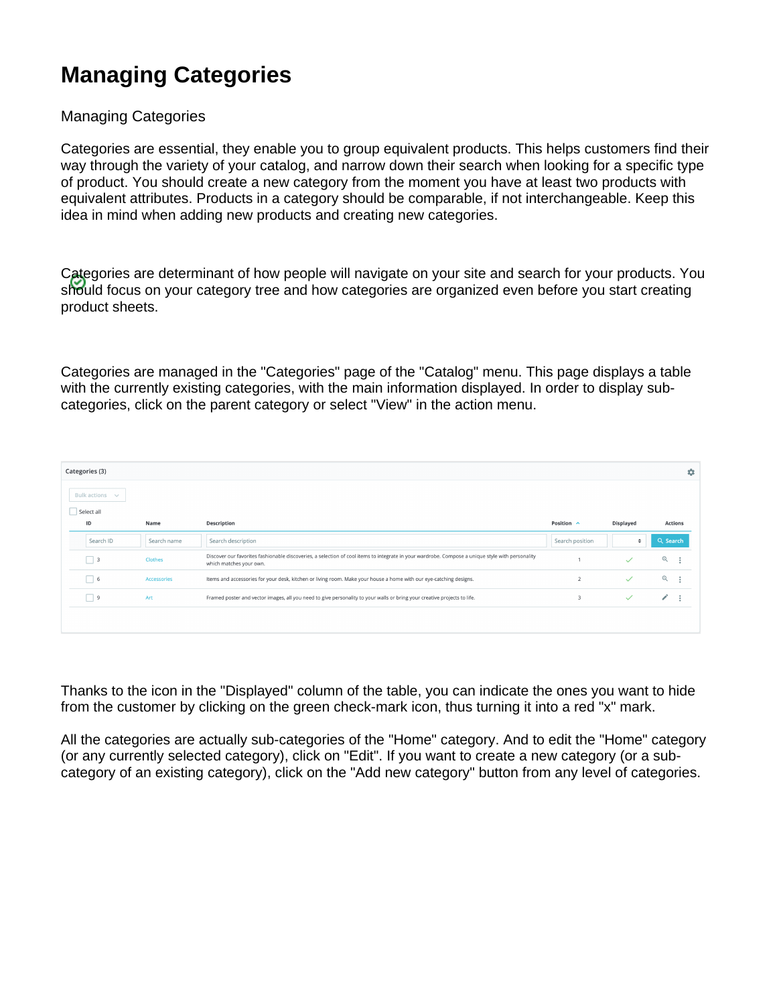# **Managing Categories**

### Managing Categories

Categories are essential, they enable you to group equivalent products. This helps customers find their way through the variety of your catalog, and narrow down their search when looking for a specific type of product. You should create a new category from the moment you have at least two products with equivalent attributes. Products in a category should be comparable, if not interchangeable. Keep this idea in mind when adding new products and creating new categories.

Categories are determinant of how people will navigate on your site and search for your products. You should focus on your category tree and how categories are organized even before you start creating product sheets.

Categories are managed in the "Categories" page of the "Catalog" menu. This page displays a table with the currently existing categories, with the main information displayed. In order to display subcategories, click on the parent category or select "View" in the action menu.

| Categories (3) |                            |             |                                                                                                                                                                             |                         |              |                |  |  |  |  |  |
|----------------|----------------------------|-------------|-----------------------------------------------------------------------------------------------------------------------------------------------------------------------------|-------------------------|--------------|----------------|--|--|--|--|--|
|                | Bulk actions $\sim$        |             |                                                                                                                                                                             |                         |              |                |  |  |  |  |  |
| Select all     |                            |             |                                                                                                                                                                             |                         |              |                |  |  |  |  |  |
|                | ID                         | Name        | Description                                                                                                                                                                 | Position $\wedge$       | Displayed    | <b>Actions</b> |  |  |  |  |  |
|                | Search ID                  | Search name | Search description                                                                                                                                                          | Search position         | $\hat{ }$    | Q Search       |  |  |  |  |  |
|                | $\overline{\phantom{0}}$ 3 | Clothes     | Discover our favorites fashionable discoveries, a selection of cool items to integrate in your wardrobe. Compose a unique style with personality<br>which matches your own. |                         | $\checkmark$ | $\mathbb{Q}$   |  |  |  |  |  |
|                | $\Box$ 6                   | Accessories | Items and accessories for your desk, kitchen or living room. Make your house a home with our eye-catching designs.                                                          | $\overline{2}$          | $\checkmark$ | $\mathbb{Q}$   |  |  |  |  |  |
|                | $\overline{\phantom{0}}$ 9 | Art         | Framed poster and vector images, all you need to give personality to your walls or bring your creative projects to life.                                                    | $\overline{\mathbf{3}}$ | $\checkmark$ | ∕              |  |  |  |  |  |
|                |                            |             |                                                                                                                                                                             |                         |              |                |  |  |  |  |  |
|                |                            |             |                                                                                                                                                                             |                         |              |                |  |  |  |  |  |

Thanks to the icon in the "Displayed" column of the table, you can indicate the ones you want to hide from the customer by clicking on the green check-mark icon, thus turning it into a red "x" mark.

All the categories are actually sub-categories of the "Home" category. And to edit the "Home" category (or any currently selected category), click on "Edit". If you want to create a new category (or a subcategory of an existing category), click on the "Add new category" button from any level of categories.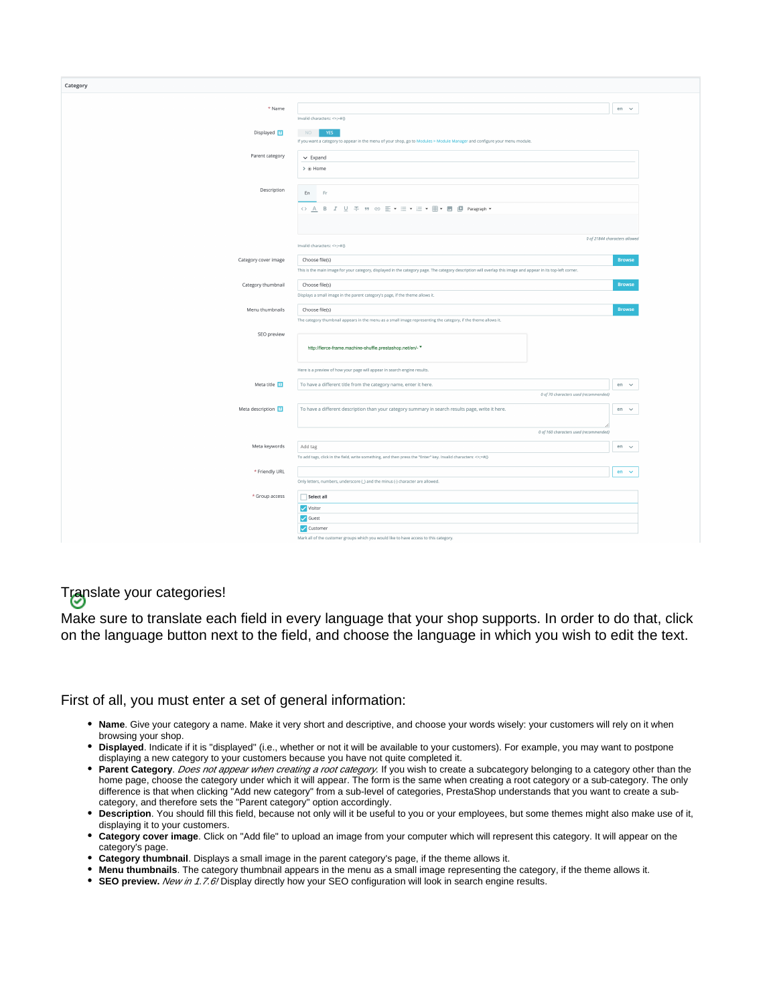| Category             |                                                                                                                                                               |               |
|----------------------|---------------------------------------------------------------------------------------------------------------------------------------------------------------|---------------|
|                      |                                                                                                                                                               |               |
| * Name               |                                                                                                                                                               | en $\sim$     |
|                      | Invalid characters: <> := #{}                                                                                                                                 |               |
| Displayed 2          | NO<br>YES.                                                                                                                                                    |               |
|                      | If you want a category to appear in the menu of your shop, go to Modules > Module Manager and configure your menu module.                                     |               |
| Parent category      | $\smile$ Expand                                                                                                                                               |               |
|                      | $\rightarrow$ @ Home                                                                                                                                          |               |
|                      |                                                                                                                                                               |               |
| Description          | En<br>Fr                                                                                                                                                      |               |
|                      |                                                                                                                                                               |               |
|                      |                                                                                                                                                               |               |
|                      |                                                                                                                                                               |               |
|                      | 0 of 21844 characters allowed                                                                                                                                 |               |
|                      | Invalid characters: $\Leftrightarrow$ =#{}                                                                                                                    |               |
| Category cover image | Choose file(s)                                                                                                                                                | <b>Browse</b> |
|                      | This is the main image for your category, displayed in the category page. The category description will overlap this image and appear in its top-left corner. |               |
| Category thumbnail   | Choose file(s)                                                                                                                                                | <b>Browse</b> |
|                      | Displays a small image in the parent category's page, if the theme allows it.                                                                                 |               |
| Menu thumbnails      | Choose file(s)                                                                                                                                                | <b>Browse</b> |
|                      | The category thumbnail appears in the menu as a small image representing the category, if the theme allows it.                                                |               |
| SEO preview          |                                                                                                                                                               |               |
|                      | http://fierce-frame.machine-shuffle.prestashop.net/en/- *                                                                                                     |               |
|                      |                                                                                                                                                               |               |
|                      | Here is a preview of how your page will appear in search engine results.                                                                                      |               |
| Meta title 2         |                                                                                                                                                               |               |
|                      | To have a different title from the category name, enter it here.<br>0 of 70 characters used (recommended)                                                     | en $\vee$     |
|                      |                                                                                                                                                               |               |
| Meta description 7   | To have a different description than your category summary in search results page, write it here.                                                             | en $\sim$     |
|                      |                                                                                                                                                               |               |
|                      | 0 of 160 characters used (recommended)                                                                                                                        |               |
| Meta keywords        | Add tag                                                                                                                                                       | $en \sim$     |
|                      | To add tags, click in the field, write something, and then press the "Enter" key. Invalid characters: $\Leftrightarrow$ ;=#{}                                 |               |
| * Friendly URL       |                                                                                                                                                               | $en \sim$     |
|                      | Only letters, numbers, underscore (_) and the minus (-) character are allowed.                                                                                |               |
| * Group access       | $\Box$ Select all                                                                                                                                             |               |
|                      | Visitor                                                                                                                                                       |               |
|                      | Guest                                                                                                                                                         |               |
|                      | Customer                                                                                                                                                      |               |
|                      | Mark all of the customer groups which you would like to have access to this category.                                                                         |               |

## Translate your categories!

Make sure to translate each field in every language that your shop supports. In order to do that, click on the language button next to the field, and choose the language in which you wish to edit the text.

#### First of all, you must enter a set of general information:

- **Name**. Give your category a name. Make it very short and descriptive, and choose your words wisely: your customers will rely on it when browsing your shop.
- **Displayed**. Indicate if it is "displayed" (i.e., whether or not it will be available to your customers). For example, you may want to postpone displaying a new category to your customers because you have not quite completed it.
- **Parent Category**. Does not appear when creating a root category. If you wish to create a subcategory belonging to a category other than the home page, choose the category under which it will appear. The form is the same when creating a root category or a sub-category. The only difference is that when clicking "Add new category" from a sub-level of categories, PrestaShop understands that you want to create a subcategory, and therefore sets the "Parent category" option accordingly.
- **Description**. You should fill this field, because not only will it be useful to you or your employees, but some themes might also make use of it, displaying it to your customers.
- **Category cover image**. Click on "Add file" to upload an image from your computer which will represent this category. It will appear on the category's page.
- **Category thumbnail**. Displays a small image in the parent category's page, if the theme allows it.
- **Menu thumbnails**. The category thumbnail appears in the menu as a small image representing the category, if the theme allows it.
- **SEO preview.** *New in 1.7.6!* Display directly how your SEO configuration will look in search engine results.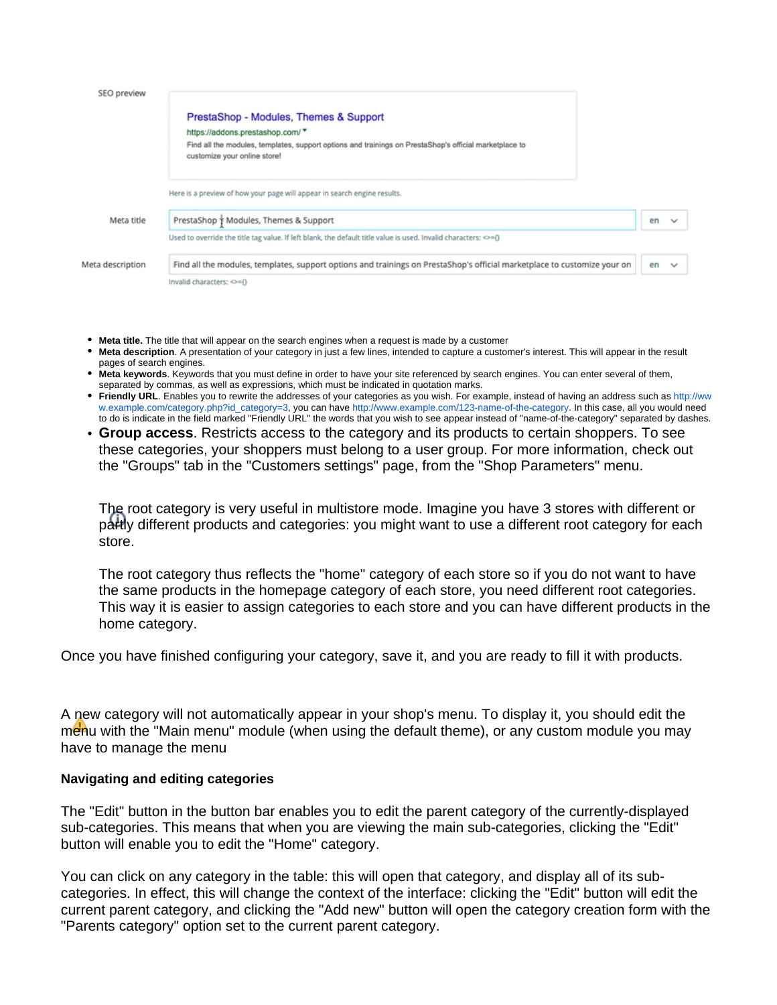| SEO preview      |                                                                                                                                        |    |        |
|------------------|----------------------------------------------------------------------------------------------------------------------------------------|----|--------|
|                  | PrestaShop - Modules, Themes & Support                                                                                                 |    |        |
|                  | https://addons.prestashop.com/ *                                                                                                       |    |        |
|                  | Find all the modules, templates, support options and trainings on PrestaShop's official marketplace to<br>customize your online store! |    |        |
|                  | Here is a preview of how your page will appear in search engine results.                                                               |    |        |
| Meta title       | PrestaShop + Modules, Themes & Support                                                                                                 | en |        |
|                  | Used to override the title tag value. If left blank, the default title value is used. Invalid characters: <>={}                        |    |        |
| Meta description | Find all the modules, templates, support options and trainings on PrestaShop's official marketplace to customize your on               | en | $\sim$ |
|                  | Invalid characters: <>={}                                                                                                              |    |        |

- **Meta title.** The title that will appear on the search engines when a request is made by a customer
- **Meta description**. A presentation of your category in just a few lines, intended to capture a customer's interest. This will appear in the result pages of search engines.
- **Meta keywords**. Keywords that you must define in order to have your site referenced by search engines. You can enter several of them, separated by commas, as well as expressions, which must be indicated in quotation marks.
- **Friendly URL**. Enables you to rewrite the addresses of your categories as you wish. For example, instead of having an address such as [http://ww](http://www.example.com/category.php?id_category=3) [w.example.com/category.php?id\\_category=3](http://www.example.com/category.php?id_category=3), you can have <http://www.example.com/123-name-of-the-category>. In this case, all you would need to do is indicate in the field marked "Friendly URL" the words that you wish to see appear instead of "name-of-the-category" separated by dashes.
- **Group access**. Restricts access to the category and its products to certain shoppers. To see these categories, your shoppers must belong to a user group. For more information, check out the "Groups" tab in the "Customers settings" page, from the "Shop Parameters" menu.

The root category is very useful in multistore mode. Imagine you have 3 stores with different or partly different products and categories: you might want to use a different root category for each store.

The root category thus reflects the "home" category of each store so if you do not want to have the same products in the homepage category of each store, you need different root categories. This way it is easier to assign categories to each store and you can have different products in the home category.

Once you have finished configuring your category, save it, and you are ready to fill it with products.

A new category will not automatically appear in your shop's menu. To display it, you should edit the menu with the "Main menu" module (when using the default theme), or any custom module you may have to manage the menu

#### **Navigating and editing categories**

The "Edit" button in the button bar enables you to edit the parent category of the currently-displayed sub-categories. This means that when you are viewing the main sub-categories, clicking the "Edit" button will enable you to edit the "Home" category.

You can click on any category in the table: this will open that category, and display all of its subcategories. In effect, this will change the context of the interface: clicking the "Edit" button will edit the current parent category, and clicking the "Add new" button will open the category creation form with the "Parents category" option set to the current parent category.